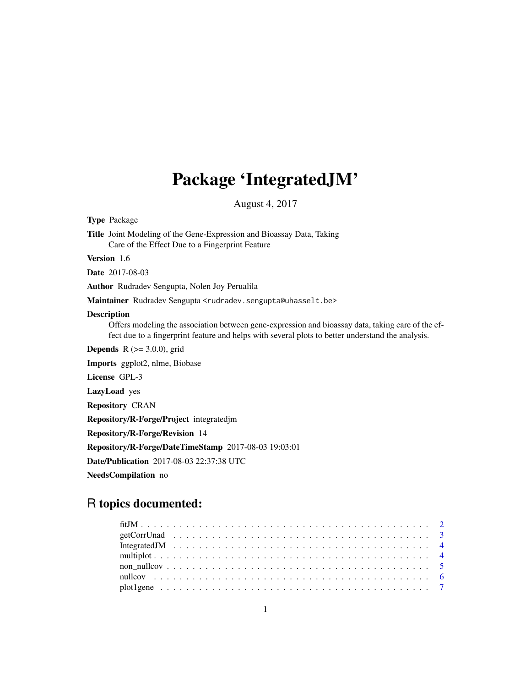## Package 'IntegratedJM'

August 4, 2017

Type Package Title Joint Modeling of the Gene-Expression and Bioassay Data, Taking Care of the Effect Due to a Fingerprint Feature Version 1.6 Date 2017-08-03 Author Rudradev Sengupta, Nolen Joy Perualila Maintainer Rudradev Sengupta <rudradev.sengupta@uhasselt.be> Description Offers modeling the association between gene-expression and bioassay data, taking care of the effect due to a fingerprint feature and helps with several plots to better understand the analysis. **Depends** R  $(>= 3.0.0)$ , grid Imports ggplot2, nlme, Biobase License GPL-3 LazyLoad yes Repository CRAN Repository/R-Forge/Project integratedjm Repository/R-Forge/Revision 14 Repository/R-Forge/DateTimeStamp 2017-08-03 19:03:01 Date/Publication 2017-08-03 22:37:38 UTC

NeedsCompilation no

### R topics documented: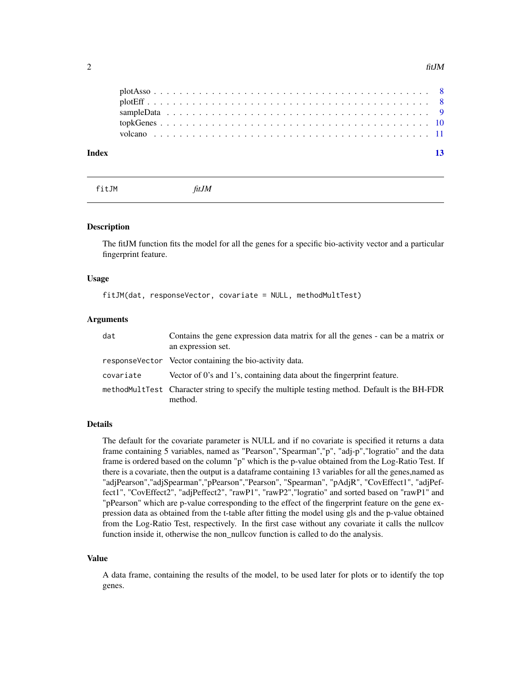<span id="page-1-0"></span>

| Index |  |  |  |  |  |  |  |  |  |  |  |  |  |  |  |  |  |  |  |  |  |
|-------|--|--|--|--|--|--|--|--|--|--|--|--|--|--|--|--|--|--|--|--|--|
|       |  |  |  |  |  |  |  |  |  |  |  |  |  |  |  |  |  |  |  |  |  |
|       |  |  |  |  |  |  |  |  |  |  |  |  |  |  |  |  |  |  |  |  |  |
|       |  |  |  |  |  |  |  |  |  |  |  |  |  |  |  |  |  |  |  |  |  |
|       |  |  |  |  |  |  |  |  |  |  |  |  |  |  |  |  |  |  |  |  |  |
|       |  |  |  |  |  |  |  |  |  |  |  |  |  |  |  |  |  |  |  |  |  |

fitJM *fitJM*

#### Description

The fitJM function fits the model for all the genes for a specific bio-activity vector and a particular fingerprint feature.

#### Usage

fitJM(dat, responseVector, covariate = NULL, methodMultTest)

#### Arguments

| dat       | Contains the gene expression data matrix for all the genes - can be a matrix or<br>an expression set.    |
|-----------|----------------------------------------------------------------------------------------------------------|
|           | response Vector Vector containing the bio-activity data.                                                 |
| covariate | Vector of 0's and 1's, containing data about the fingerprint feature.                                    |
|           | methodMultTest Character string to specify the multiple testing method. Default is the BH-FDR<br>method. |

#### Details

The default for the covariate parameter is NULL and if no covariate is specified it returns a data frame containing 5 variables, named as "Pearson","Spearman","p", "adj-p","logratio" and the data frame is ordered based on the column "p" which is the p-value obtained from the Log-Ratio Test. If there is a covariate, then the output is a dataframe containing 13 variables for all the genes,named as "adjPearson","adjSpearman","pPearson","Pearson", "Spearman", "pAdjR", "CovEffect1", "adjPeffect1", "CovEffect2", "adjPeffect2", "rawP1", "rawP2","logratio" and sorted based on "rawP1" and "pPearson" which are p-value corresponding to the effect of the fingerprint feature on the gene expression data as obtained from the t-table after fitting the model using gls and the p-value obtained from the Log-Ratio Test, respectively. In the first case without any covariate it calls the nullcov function inside it, otherwise the non\_nullcov function is called to do the analysis.

#### Value

A data frame, containing the results of the model, to be used later for plots or to identify the top genes.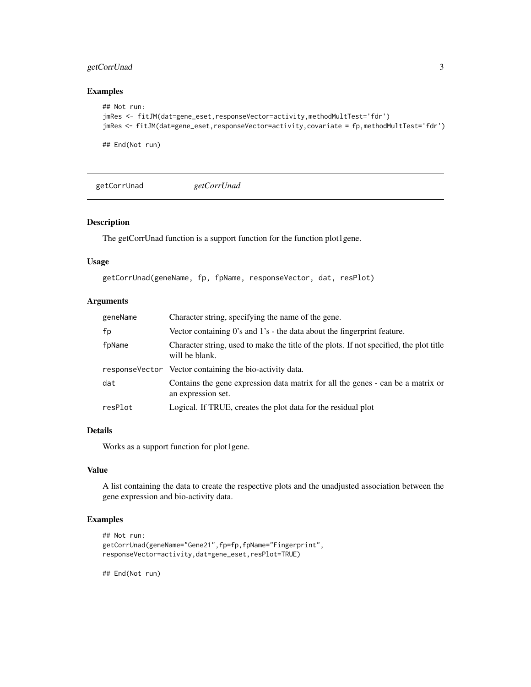#### <span id="page-2-0"></span>getCorrUnad 3

#### Examples

```
## Not run:
jmRes <- fitJM(dat=gene_eset,responseVector=activity,methodMultTest='fdr')
jmRes <- fitJM(dat=gene_eset,responseVector=activity,covariate = fp,methodMultTest='fdr')
```
## End(Not run)

getCorrUnad *getCorrUnad*

#### Description

The getCorrUnad function is a support function for the function plot1gene.

#### Usage

```
getCorrUnad(geneName, fp, fpName, responseVector, dat, resPlot)
```
#### Arguments

| geneName | Character string, specifying the name of the gene.                                                        |
|----------|-----------------------------------------------------------------------------------------------------------|
| fp       | Vector containing 0's and 1's - the data about the fingerprint feature.                                   |
| fpName   | Character string, used to make the title of the plots. If not specified, the plot title<br>will be blank. |
|          | response Vector Vector containing the bio-activity data.                                                  |
| dat      | Contains the gene expression data matrix for all the genes - can be a matrix or<br>an expression set.     |
| resPlot  | Logical. If TRUE, creates the plot data for the residual plot                                             |

#### Details

Works as a support function for plot1gene.

#### Value

A list containing the data to create the respective plots and the unadjusted association between the gene expression and bio-activity data.

#### Examples

```
## Not run:
getCorrUnad(geneName="Gene21",fp=fp,fpName="Fingerprint",
responseVector=activity,dat=gene_eset,resPlot=TRUE)
```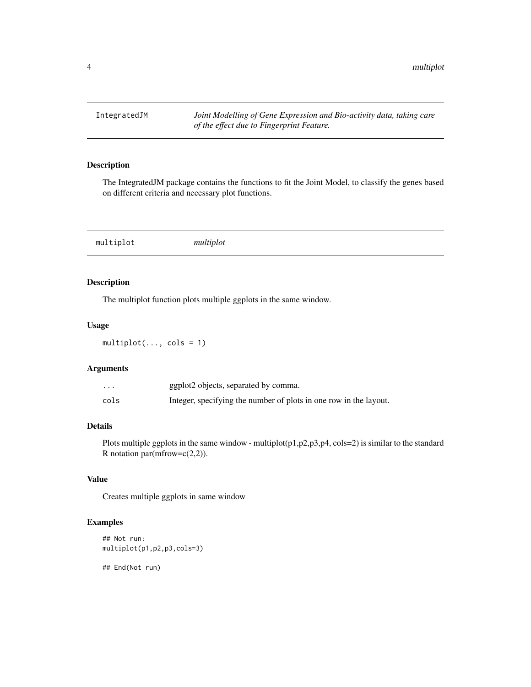<span id="page-3-0"></span>

#### Description

The IntegratedJM package contains the functions to fit the Joint Model, to classify the genes based on different criteria and necessary plot functions.

multiplot *multiplot*

#### Description

The multiplot function plots multiple ggplots in the same window.

#### Usage

 $multiplot(..., \text{cols} = 1)$ 

#### Arguments

| $\cdots$ | ggplot2 objects, separated by comma.                              |
|----------|-------------------------------------------------------------------|
| cols     | Integer, specifying the number of plots in one row in the layout. |

#### Details

Plots multiple ggplots in the same window - multiplot(p1,p2,p3,p4, cols=2) is similar to the standard R notation par(mfrow= $c(2,2)$ ).

#### Value

Creates multiple ggplots in same window

#### Examples

```
## Not run:
multiplot(p1,p2,p3,cols=3)
```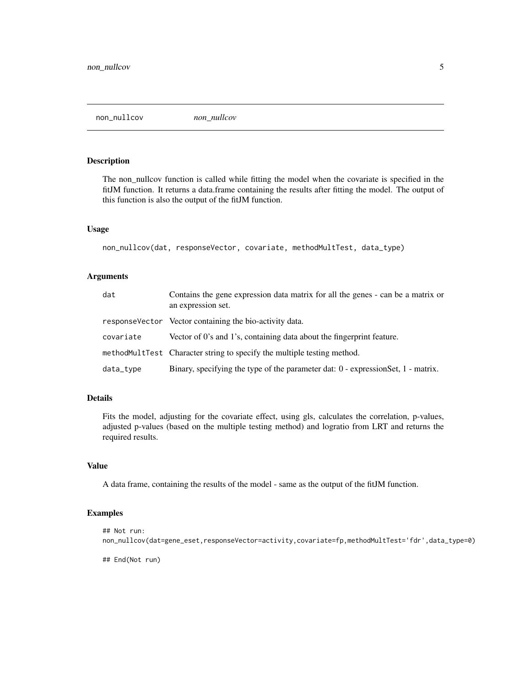<span id="page-4-0"></span>non\_nullcov *non\_nullcov*

#### Description

The non\_nullcov function is called while fitting the model when the covariate is specified in the fitJM function. It returns a data.frame containing the results after fitting the model. The output of this function is also the output of the fitJM function.

#### Usage

```
non_nullcov(dat, responseVector, covariate, methodMultTest, data_type)
```
#### Arguments

| dat       | Contains the gene expression data matrix for all the genes - can be a matrix or<br>an expression set. |
|-----------|-------------------------------------------------------------------------------------------------------|
|           | response Vector Vector containing the bio-activity data.                                              |
| covariate | Vector of 0's and 1's, containing data about the fingerprint feature.                                 |
|           | methodMultTest Character string to specify the multiple testing method.                               |
| data_type | Binary, specifying the type of the parameter dat: $0$ - expression Set, $1$ - matrix.                 |

#### Details

Fits the model, adjusting for the covariate effect, using gls, calculates the correlation, p-values, adjusted p-values (based on the multiple testing method) and logratio from LRT and returns the required results.

#### Value

A data frame, containing the results of the model - same as the output of the fitJM function.

#### Examples

```
## Not run:
non_nullcov(dat=gene_eset,responseVector=activity,covariate=fp,methodMultTest='fdr',data_type=0)
```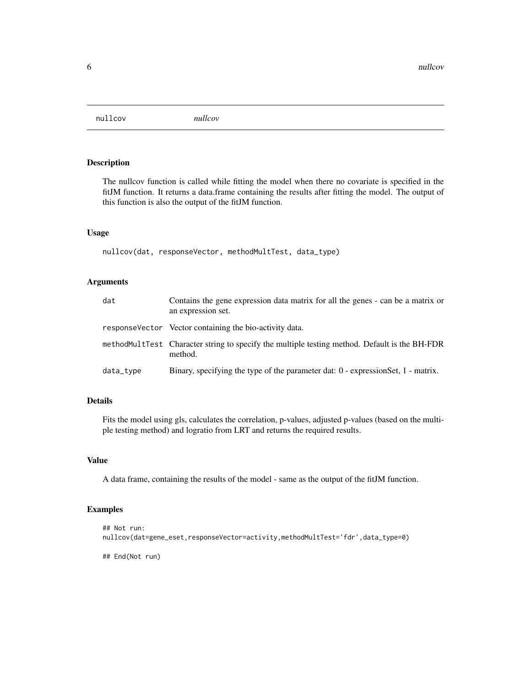<span id="page-5-0"></span>nullcov *nullcov*

#### Description

The nullcov function is called while fitting the model when there no covariate is specified in the fitJM function. It returns a data.frame containing the results after fitting the model. The output of this function is also the output of the fitJM function.

#### Usage

nullcov(dat, responseVector, methodMultTest, data\_type)

#### Arguments

| dat       | Contains the gene expression data matrix for all the genes - can be a matrix or<br>an expression set.    |
|-----------|----------------------------------------------------------------------------------------------------------|
|           | response Vector Vector containing the bio-activity data.                                                 |
|           | methodMultTest Character string to specify the multiple testing method. Default is the BH-FDR<br>method. |
| data_type | Binary, specifying the type of the parameter dat: $0$ - expression Set, $1$ - matrix.                    |

#### Details

Fits the model using gls, calculates the correlation, p-values, adjusted p-values (based on the multiple testing method) and logratio from LRT and returns the required results.

#### Value

A data frame, containing the results of the model - same as the output of the fitJM function.

#### Examples

```
## Not run:
nullcov(dat=gene_eset,responseVector=activity,methodMultTest='fdr',data_type=0)
## End(Not run)
```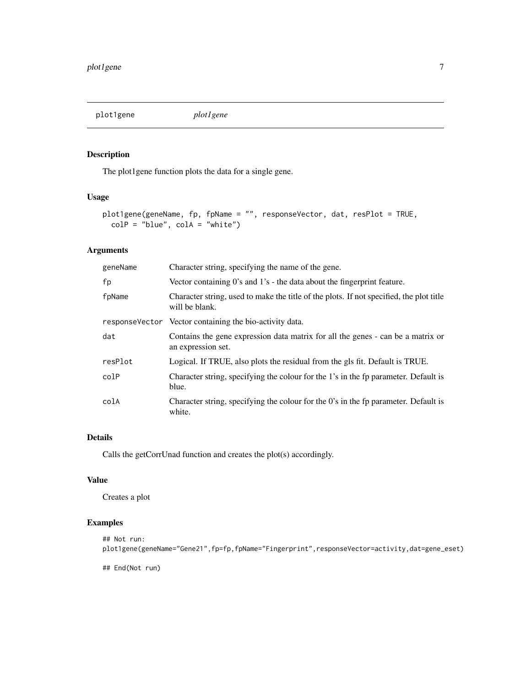<span id="page-6-0"></span>plot1gene *plot1gene*

#### Description

The plot1gene function plots the data for a single gene.

#### Usage

```
plot1gene(geneName, fp, fpName = "", responseVector, dat, resPlot = TRUE,
 colP = "blue", colA = "white")
```
#### Arguments

| geneName | Character string, specifying the name of the gene.                                                        |
|----------|-----------------------------------------------------------------------------------------------------------|
| fp       | Vector containing $0$ 's and $1$ 's $\overline{\phantom{a}}$ the data about the fingerprint feature.      |
| fpName   | Character string, used to make the title of the plots. If not specified, the plot title<br>will be blank. |
|          | response Vector Vector containing the bio-activity data.                                                  |
| dat      | Contains the gene expression data matrix for all the genes - can be a matrix or<br>an expression set.     |
| resPlot  | Logical. If TRUE, also plots the residual from the gls fit. Default is TRUE.                              |
| colP     | Character string, specifying the colour for the 1's in the fp parameter. Default is<br>blue.              |
| colA     | Character string, specifying the colour for the 0's in the fp parameter. Default is<br>white.             |

#### Details

Calls the getCorrUnad function and creates the plot(s) accordingly.

#### Value

Creates a plot

#### Examples

```
## Not run:
plot1gene(geneName="Gene21",fp=fp,fpName="Fingerprint",responseVector=activity,dat=gene_eset)
```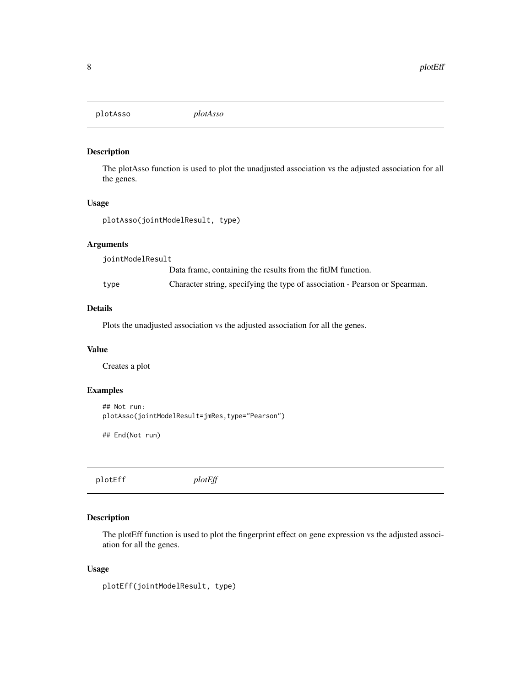<span id="page-7-0"></span>plotAsso *plotAsso*

#### Description

The plotAsso function is used to plot the unadjusted association vs the adjusted association for all the genes.

#### Usage

plotAsso(jointModelResult, type)

#### Arguments

jointModelResult Data frame, containing the results from the fitJM function. type Character string, specifying the type of association - Pearson or Spearman.

#### Details

Plots the unadjusted association vs the adjusted association for all the genes.

#### Value

Creates a plot

#### Examples

```
## Not run:
plotAsso(jointModelResult=jmRes,type="Pearson")
```
## End(Not run)

plotEff *plotEff*

#### Description

The plotEff function is used to plot the fingerprint effect on gene expression vs the adjusted association for all the genes.

#### Usage

```
plotEff(jointModelResult, type)
```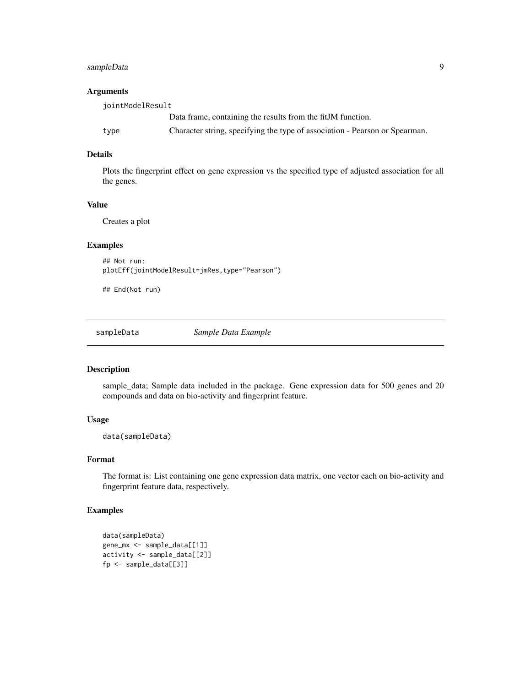#### <span id="page-8-0"></span>sampleData 9

#### Arguments

| iointModelResult |                                                                             |
|------------------|-----------------------------------------------------------------------------|
|                  | Data frame, containing the results from the fitJM function.                 |
| type             | Character string, specifying the type of association - Pearson or Spearman. |

#### Details

Plots the fingerprint effect on gene expression vs the specified type of adjusted association for all the genes.

#### Value

Creates a plot

#### Examples

```
## Not run:
plotEff(jointModelResult=jmRes,type="Pearson")
```
## End(Not run)

sampleData *Sample Data Example*

#### Description

sample\_data; Sample data included in the package. Gene expression data for 500 genes and 20 compounds and data on bio-activity and fingerprint feature.

#### Usage

data(sampleData)

#### Format

The format is: List containing one gene expression data matrix, one vector each on bio-activity and fingerprint feature data, respectively.

#### Examples

```
data(sampleData)
gene_mx <- sample_data[[1]]
activity <- sample_data[[2]]
fp <- sample_data[[3]]
```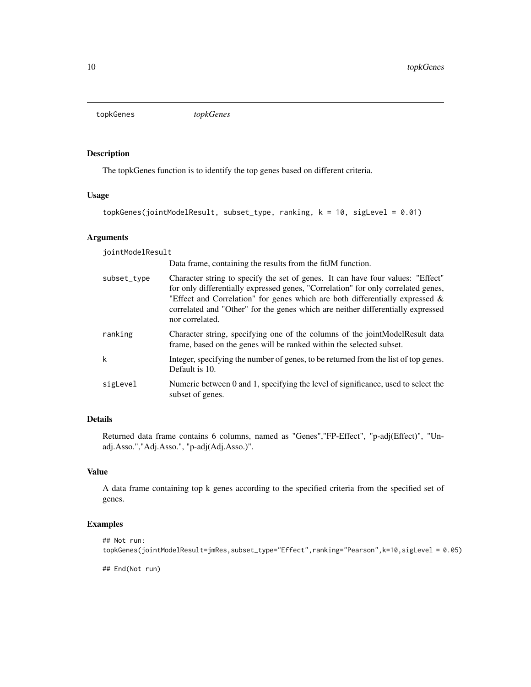<span id="page-9-0"></span>topkGenes *topkGenes*

#### Description

The topkGenes function is to identify the top genes based on different criteria.

#### Usage

```
topkGenes(jointModelResult, subset_type, ranking, k = 10, sigLevel = 0.01)
```
#### Arguments

jointModelResult

Data frame, containing the results from the fitJM function.

| subset_type | Character string to specify the set of genes. It can have four values: "Effect"<br>for only differentially expressed genes, "Correlation" for only correlated genes,<br>"Effect and Correlation" for genes which are both differentially expressed $\&$<br>correlated and "Other" for the genes which are neither differentially expressed<br>nor correlated. |
|-------------|---------------------------------------------------------------------------------------------------------------------------------------------------------------------------------------------------------------------------------------------------------------------------------------------------------------------------------------------------------------|
| ranking     | Character string, specifying one of the columns of the jointModelResult data<br>frame, based on the genes will be ranked within the selected subset.                                                                                                                                                                                                          |
| k           | Integer, specifying the number of genes, to be returned from the list of top genes.<br>Default is 10.                                                                                                                                                                                                                                                         |
| sigLevel    | Numeric between 0 and 1, specifying the level of significance, used to select the<br>subset of genes.                                                                                                                                                                                                                                                         |

#### Details

Returned data frame contains 6 columns, named as "Genes","FP-Effect", "p-adj(Effect)", "Unadj.Asso.","Adj.Asso.", "p-adj(Adj.Asso.)".

#### Value

A data frame containing top k genes according to the specified criteria from the specified set of genes.

#### Examples

```
## Not run:
topkGenes(jointModelResult=jmRes,subset_type="Effect",ranking="Pearson",k=10,sigLevel = 0.05)
```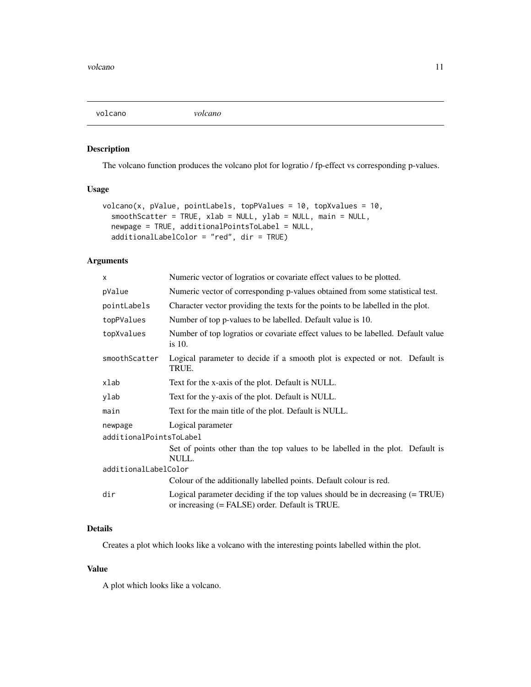<span id="page-10-0"></span>

#### Description

The volcano function produces the volcano plot for logratio / fp-effect vs corresponding p-values.

#### Usage

```
volcano(x, pValue, pointLabels, topPValues = 10, topXvalues = 10,
  smoothScatter = TRUE, xlab = NULL, ylab = NULL, main = NULL,
 newpage = TRUE, additionalPointsToLabel = NULL,
  additionalLabelColor = "red", dir = TRUE)
```
#### Arguments

| X.                      | Numeric vector of logratios or covariate effect values to be plotted.                                                            |
|-------------------------|----------------------------------------------------------------------------------------------------------------------------------|
| pValue                  | Numeric vector of corresponding p-values obtained from some statistical test.                                                    |
| pointLabels             | Character vector providing the texts for the points to be labelled in the plot.                                                  |
| topPValues              | Number of top p-values to be labelled. Default value is 10.                                                                      |
| topXvalues              | Number of top logratios or covariate effect values to be labelled. Default value<br>is $10$ .                                    |
| smoothScatter           | Logical parameter to decide if a smooth plot is expected or not. Default is<br>TRUE.                                             |
| xlab                    | Text for the x-axis of the plot. Default is NULL.                                                                                |
| ylab                    | Text for the y-axis of the plot. Default is NULL.                                                                                |
| main                    | Text for the main title of the plot. Default is NULL.                                                                            |
| newpage                 | Logical parameter                                                                                                                |
| additionalPointsToLabel |                                                                                                                                  |
|                         | Set of points other than the top values to be labelled in the plot. Default is<br>NULL.                                          |
| additionalLabelColor    |                                                                                                                                  |
|                         | Colour of the additionally labelled points. Default colour is red.                                                               |
| dir                     | Logical parameter deciding if the top values should be in decreasing (= TRUE)<br>or increasing (= FALSE) order. Default is TRUE. |

#### Details

Creates a plot which looks like a volcano with the interesting points labelled within the plot.

#### Value

A plot which looks like a volcano.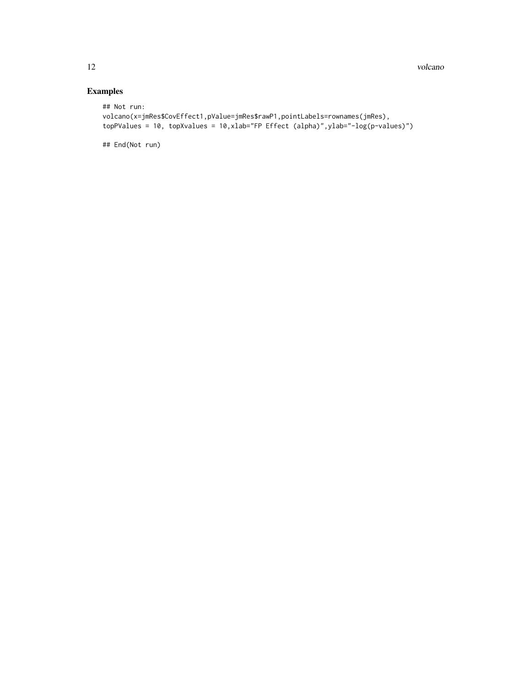#### Examples

```
## Not run:
volcano(x=jmRes$CovEffect1,pValue=jmRes$rawP1,pointLabels=rownames(jmRes),
topPValues = 10, topXvalues = 10,xlab="FP Effect (alpha)",ylab="-log(p-values)")
```